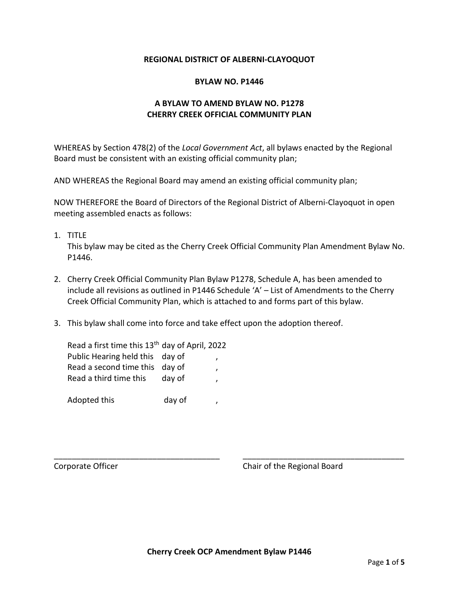#### **REGIONAL DISTRICT OF ALBERNI-CLAYOQUOT**

#### **BYLAW NO. P1446**

## **A BYLAW TO AMEND BYLAW NO. P1278 CHERRY CREEK OFFICIAL COMMUNITY PLAN**

WHEREAS by Section 478(2) of the *Local Government Act*, all bylaws enacted by the Regional Board must be consistent with an existing official community plan;

AND WHEREAS the Regional Board may amend an existing official community plan;

NOW THEREFORE the Board of Directors of the Regional District of Alberni-Clayoquot in open meeting assembled enacts as follows:

1. TITLE

This bylaw may be cited as the Cherry Creek Official Community Plan Amendment Bylaw No. P1446.

- 2. Cherry Creek Official Community Plan Bylaw P1278, Schedule A, has been amended to include all revisions as outlined in P1446 Schedule 'A' – List of Amendments to the Cherry Creek Official Community Plan, which is attached to and forms part of this bylaw.
- 3. This bylaw shall come into force and take effect upon the adoption thereof.

| Read a first time this 13 <sup>th</sup> day of April, 2022 |        |   |
|------------------------------------------------------------|--------|---|
| Public Hearing held this day of                            |        |   |
| Read a second time this day of                             |        |   |
| Read a third time this                                     | day of | , |
|                                                            |        |   |
| Adopted this                                               | day of |   |

Corporate Officer Corporate Officer Corporate Officer Corporate Chair of the Regional Board

\_\_\_\_\_\_\_\_\_\_\_\_\_\_\_\_\_\_\_\_\_\_\_\_\_\_\_\_\_\_\_\_\_\_\_\_\_ \_\_\_\_\_\_\_\_\_\_\_\_\_\_\_\_\_\_\_\_\_\_\_\_\_\_\_\_\_\_\_\_\_\_\_\_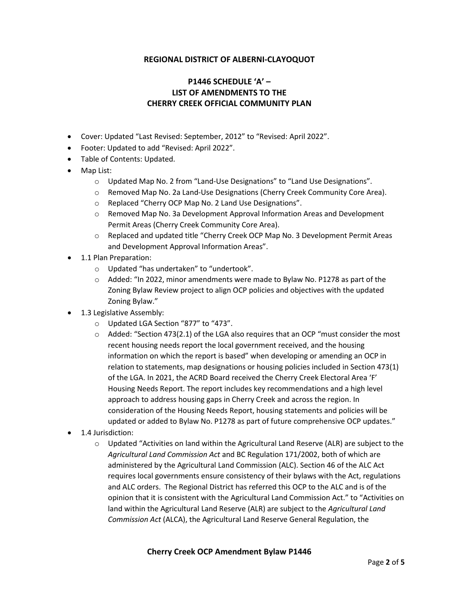## **REGIONAL DISTRICT OF ALBERNI-CLAYOQUOT**

# **P1446 SCHEDULE 'A' – LIST OF AMENDMENTS TO THE CHERRY CREEK OFFICIAL COMMUNITY PLAN**

- Cover: Updated "Last Revised: September, 2012" to "Revised: April 2022".
- Footer: Updated to add "Revised: April 2022".
- Table of Contents: Updated.
- Map List:
	- o Updated Map No. 2 from "Land-Use Designations" to "Land Use Designations".
	- o Removed Map No. 2a Land-Use Designations (Cherry Creek Community Core Area).
	- o Replaced "Cherry OCP Map No. 2 Land Use Designations".
	- o Removed Map No. 3a Development Approval Information Areas and Development Permit Areas (Cherry Creek Community Core Area).
	- o Replaced and updated title "Cherry Creek OCP Map No. 3 Development Permit Areas and Development Approval Information Areas".
- 1.1 Plan Preparation:
	- o Updated "has undertaken" to "undertook".
	- $\circ$  Added: "In 2022, minor amendments were made to Bylaw No. P1278 as part of the Zoning Bylaw Review project to align OCP policies and objectives with the updated Zoning Bylaw."
- 1.3 Legislative Assembly:
	- o Updated LGA Section "877" to "473".
	- $\circ$  Added: "Section 473(2.1) of the LGA also requires that an OCP "must consider the most recent housing needs report the local government received, and the housing information on which the report is based" when developing or amending an OCP in relation to statements, map designations or housing policies included in Section 473(1) of the LGA. In 2021, the ACRD Board received the Cherry Creek Electoral Area 'F' Housing Needs Report. The report includes key recommendations and a high level approach to address housing gaps in Cherry Creek and across the region. In consideration of the Housing Needs Report, housing statements and policies will be updated or added to Bylaw No. P1278 as part of future comprehensive OCP updates."
- 1.4 Jurisdiction:
	- $\circ$  Updated "Activities on land within the Agricultural Land Reserve (ALR) are subject to the *Agricultural Land Commission Act* and BC Regulation 171/2002, both of which are administered by the Agricultural Land Commission (ALC). Section 46 of the ALC Act requires local governments ensure consistency of their bylaws with the Act, regulations and ALC orders. The Regional District has referred this OCP to the ALC and is of the opinion that it is consistent with the Agricultural Land Commission Act." to "Activities on land within the Agricultural Land Reserve (ALR) are subject to the *Agricultural Land Commission Act* (ALCA), the Agricultural Land Reserve General Regulation, the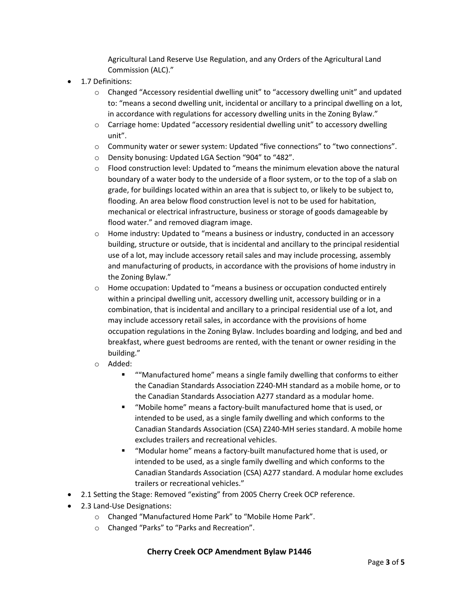Agricultural Land Reserve Use Regulation, and any Orders of the Agricultural Land Commission (ALC)."

- 1.7 Definitions:
	- $\circ$  Changed "Accessory residential dwelling unit" to "accessory dwelling unit" and updated to: "means a second dwelling unit, incidental or ancillary to a principal dwelling on a lot, in accordance with regulations for accessory dwelling units in the Zoning Bylaw."
	- o Carriage home: Updated "accessory residential dwelling unit" to accessory dwelling unit".
	- o Community water or sewer system: Updated "five connections" to "two connections".
	- o Density bonusing: Updated LGA Section "904" to "482".
	- $\circ$  Flood construction level: Updated to "means the minimum elevation above the natural boundary of a water body to the underside of a floor system, or to the top of a slab on grade, for buildings located within an area that is subject to, or likely to be subject to, flooding. An area below flood construction level is not to be used for habitation, mechanical or electrical infrastructure, business or storage of goods damageable by flood water." and removed diagram image.
	- $\circ$  Home industry: Updated to "means a business or industry, conducted in an accessory building, structure or outside, that is incidental and ancillary to the principal residential use of a lot, may include accessory retail sales and may include processing, assembly and manufacturing of products, in accordance with the provisions of home industry in the Zoning Bylaw."
	- $\circ$  Home occupation: Updated to "means a business or occupation conducted entirely within a principal dwelling unit, accessory dwelling unit, accessory building or in a combination, that is incidental and ancillary to a principal residential use of a lot, and may include accessory retail sales, in accordance with the provisions of home occupation regulations in the Zoning Bylaw. Includes boarding and lodging, and bed and breakfast, where guest bedrooms are rented, with the tenant or owner residing in the building."
	- o Added:
		- "Manufactured home" means a single family dwelling that conforms to either the Canadian Standards Association Z240-MH standard as a mobile home, or to the Canadian Standards Association A277 standard as a modular home.
		- "Mobile home" means a factory-built manufactured home that is used, or intended to be used, as a single family dwelling and which conforms to the Canadian Standards Association (CSA) Z240-MH series standard. A mobile home excludes trailers and recreational vehicles.
		- "Modular home" means a factory-built manufactured home that is used, or intended to be used, as a single family dwelling and which conforms to the Canadian Standards Association (CSA) A277 standard. A modular home excludes trailers or recreational vehicles."
- 2.1 Setting the Stage: Removed "existing" from 2005 Cherry Creek OCP reference.
- 2.3 Land-Use Designations:
	- o Changed "Manufactured Home Park" to "Mobile Home Park".
	- o Changed "Parks" to "Parks and Recreation".

## **Cherry Creek OCP Amendment Bylaw P1446**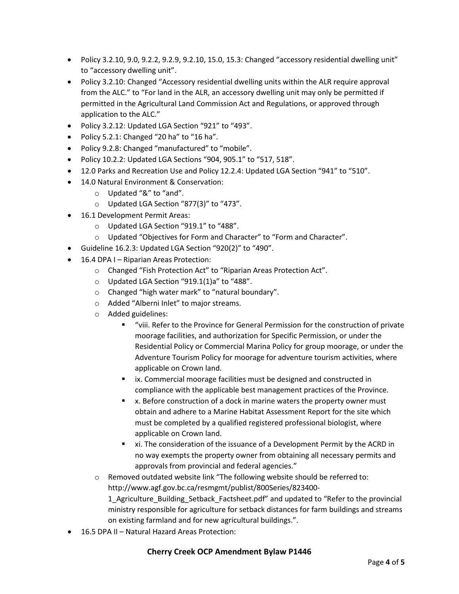- Policy 3.2.10, 9.0, 9.2.2, 9.2.9, 9.2.10, 15.0, 15.3: Changed "accessory residential dwelling unit" to "accessory dwelling unit".
- Policy 3.2.10: Changed "Accessory residential dwelling units within the ALR require approval from the ALC." to "For land in the ALR, an accessory dwelling unit may only be permitted if permitted in the Agricultural Land Commission Act and Regulations, or approved through application to the ALC."
- Policy 3.2.12: Updated LGA Section "921" to "493".
- Policy 5.2.1: Changed "20 ha" to "16 ha".
- Policy 9.2.8: Changed "manufactured" to "mobile".
- Policy 10.2.2: Updated LGA Sections "904, 905.1" to "517, 518".
- 12.0 Parks and Recreation Use and Policy 12.2.4: Updated LGA Section "941" to "510".
- 14.0 Natural Environment & Conservation:
	- o Updated "&" to "and".
	- o Updated LGA Section "877(3)" to "473".
- 16.1 Development Permit Areas:
	- o Updated LGA Section "919.1" to "488".
	- o Updated "Objectives for Form and Character" to "Form and Character".
- Guideline 16.2.3: Updated LGA Section "920(2)" to "490".
- 16.4 DPA I Riparian Areas Protection:
	- o Changed "Fish Protection Act" to "Riparian Areas Protection Act".
	- o Updated LGA Section "919.1(1)a" to "488".
	- o Changed "high water mark" to "natural boundary".
	- o Added "Alberni Inlet" to major streams.
	- o Added guidelines:
		- "viii. Refer to the Province for General Permission for the construction of private moorage facilities, and authorization for Specific Permission, or under the Residential Policy or Commercial Marina Policy for group moorage, or under the Adventure Tourism Policy for moorage for adventure tourism activities, where applicable on Crown land.
		- **EXECOMMERGIAL MOOTER FACILE** is must be designed and constructed in compliance with the applicable best management practices of the Province.
		- x. Before construction of a dock in marine waters the property owner must obtain and adhere to a Marine Habitat Assessment Report for the site which must be completed by a qualified registered professional biologist, where applicable on Crown land.
		- xi. The consideration of the issuance of a Development Permit by the ACRD in no way exempts the property owner from obtaining all necessary permits and approvals from provincial and federal agencies."
	- $\circ$  Removed outdated website link "The following website should be referred to: http://www.agf.gov.bc.ca/resmgmt/publist/800Series/823400-

1 Agriculture Building Setback Factsheet.pdf" and updated to "Refer to the provincial ministry responsible for agriculture for setback distances for farm buildings and streams on existing farmland and for new agricultural buildings.".

• 16.5 DPA II – Natural Hazard Areas Protection:

#### **Cherry Creek OCP Amendment Bylaw P1446**